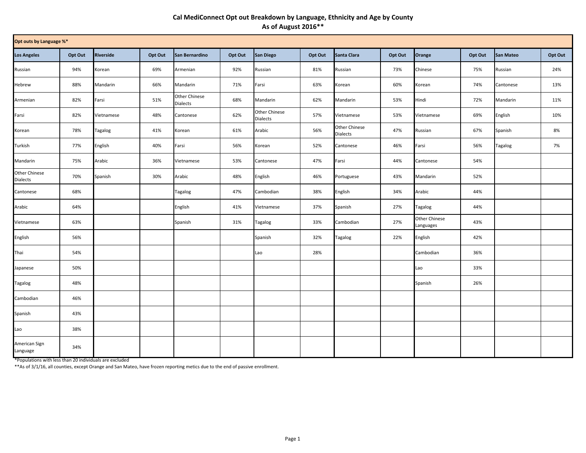## **Cal MediConnect Opt out Breakdown by Language, Ethnicity and Age by County As of August 2016\*\***

| Opt outs by Language %*          |         |                  |         |                                  |         |                                  |         |                                  |         |                                   |         |                  |         |
|----------------------------------|---------|------------------|---------|----------------------------------|---------|----------------------------------|---------|----------------------------------|---------|-----------------------------------|---------|------------------|---------|
| <b>Los Angeles</b>               | Opt Out | <b>Riverside</b> | Opt Out | San Bernardino                   | Opt Out | San Diego                        | Opt Out | Santa Clara                      | Opt Out | Orange                            | Opt Out | <b>San Mateo</b> | Opt Out |
| Russian                          | 94%     | Korean           | 69%     | Armenian                         | 92%     | Russian                          | 81%     | Russian                          | 73%     | Chinese                           | 75%     | Russian          | 24%     |
| Hebrew                           | 88%     | Mandarin         | 66%     | Mandarin                         | 71%     | Farsi                            | 63%     | Korean                           | 60%     | Korean                            | 74%     | Cantonese        | 13%     |
| Armenian                         | 82%     | Farsi            | 51%     | Other Chinese<br><b>Dialects</b> | 68%     | Mandarin                         | 62%     | Mandarin                         | 53%     | Hindi                             | 72%     | Mandarin         | 11%     |
| Farsi                            | 82%     | Vietnamese       | 48%     | Cantonese                        | 62%     | Other Chinese<br><b>Dialects</b> | 57%     | Vietnamese                       | 53%     | Vietnamese                        | 69%     | English          | 10%     |
| Korean                           | 78%     | Tagalog          | 41%     | Korean                           | 61%     | Arabic                           | 56%     | Other Chinese<br><b>Dialects</b> | 47%     | Russian                           | 67%     | Spanish          | 8%      |
| Turkish                          | 77%     | English          | 40%     | Farsi                            | 56%     | Korean                           | 52%     | Cantonese                        | 46%     | Farsi                             | 56%     | Tagalog          | 7%      |
| Mandarin                         | 75%     | Arabic           | 36%     | Vietnamese                       | 53%     | Cantonese                        | 47%     | Farsi                            | 44%     | Cantonese                         | 54%     |                  |         |
| Other Chinese<br><b>Dialects</b> | 70%     | Spanish          | 30%     | Arabic                           | 48%     | English                          | 46%     | Portuguese                       | 43%     | Mandarin                          | 52%     |                  |         |
| Cantonese                        | 68%     |                  |         | Tagalog                          | 47%     | Cambodian                        | 38%     | English                          | 34%     | Arabic                            | 44%     |                  |         |
| Arabic                           | 64%     |                  |         | English                          | 41%     | Vietnamese                       | 37%     | Spanish                          | 27%     | <b>Tagalog</b>                    | 44%     |                  |         |
| Vietnamese                       | 63%     |                  |         | Spanish                          | 31%     | Tagalog                          | 33%     | Cambodian                        | 27%     | <b>Other Chinese</b><br>Languages | 43%     |                  |         |
| English                          | 56%     |                  |         |                                  |         | Spanish                          | 32%     | Tagalog                          | 22%     | English                           | 42%     |                  |         |
| Thai                             | 54%     |                  |         |                                  |         | Lao                              | 28%     |                                  |         | Cambodian                         | 36%     |                  |         |
| Japanese                         | 50%     |                  |         |                                  |         |                                  |         |                                  |         | Lao                               | 33%     |                  |         |
| <b>Tagalog</b>                   | 48%     |                  |         |                                  |         |                                  |         |                                  |         | Spanish                           | 26%     |                  |         |
| Cambodian                        | 46%     |                  |         |                                  |         |                                  |         |                                  |         |                                   |         |                  |         |
| Spanish                          | 43%     |                  |         |                                  |         |                                  |         |                                  |         |                                   |         |                  |         |
| Lao                              | 38%     |                  |         |                                  |         |                                  |         |                                  |         |                                   |         |                  |         |
| American Sign<br>Language        | 34%     |                  |         |                                  |         |                                  |         |                                  |         |                                   |         |                  |         |

\*Populations with less than 20 individuals are excluded

\*\*As of 3/1/16, all counties, except Orange and San Mateo, have frozen reporting metics due to the end of passive enrollment.